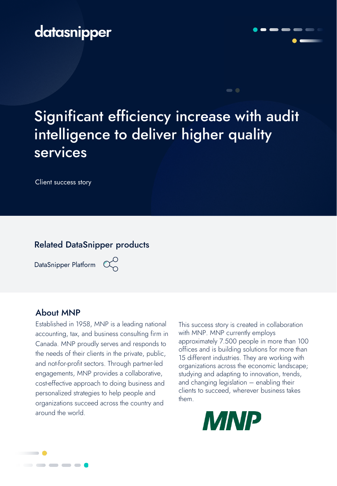## datasnipper

# Significant efficiency increase with audit intelligence to deliver higher quality services

Client success story

#### Related DataSnipper products

DataSnipper Platform  $\alpha$ 



#### About MNP

Established in 1958, MNP is a leading national accounting, tax, and business consulting firm in Canada. MNP proudly serves and responds to the needs of their clients in the private, public, and not-for-profit sectors. Through partner-led engagements, MNP provides a collaborative, cost-effective approach to doing business and personalized strategies to help people and organizations succeed across the country and around the world.

This success story is created in collaboration with MNP. MNP currently employs approximately 7.500 people in more than 100 offices and is building solutions for more than 15 different industries. They are working with organizations across the economic landscape; studying and adapting to innovation, trends, and changing legislation – enabling their clients to succeed, wherever business takes them.



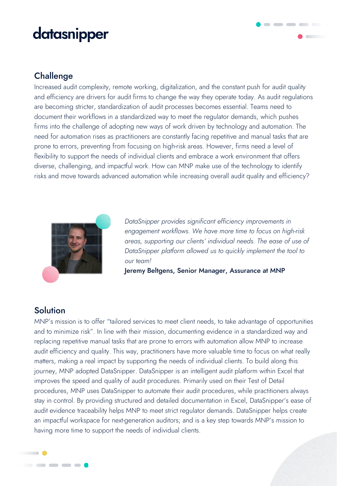# datasnipper

### Challenge

Increased audit complexity, remote working, digitalization, and the constant push for audit quality and efficiency are drivers for audit firms to change the way they operate today. As audit regulations are becoming stricter, standardization of audit processes becomes essential. Teams need to document their workflows in a standardized way to meet the regulator demands, which pushes firms into the challenge of adopting new ways of work driven by technology and automation. The need for automation rises as practitioners are constantly facing repetitive and manual tasks that are prone to errors, preventing from focusing on high-risk areas. However, firms need a level of flexibility to support the needs of individual clients and embrace a work environment that offers diverse, challenging, and impactful work. How can MNP make use of the technology to identify risks and move towards advanced automation while increasing overall audit quality and efficiency?



*DataSnipper provides significant efficiency improvements in engagement workflows. We have more time to focus on high-risk areas, supporting our clients' individual needs. The ease of use of DataSnipper platform allowed us to quickly implement the tool to our team!*

 $\begin{array}{c} \bullet \end{array} \begin{array}{c} \bullet \end{array} \begin{array}{c} \bullet \end{array} \begin{array}{c} \bullet \end{array} \begin{array}{c} \bullet \end{array}$ 

Jeremy Beltgens, Senior Manager, Assurance at MNP

#### **Solution**

 $\blacksquare$ 

-----

MNP's mission is to offer "tailored services to meet client needs, to take advantage of opportunities and to minimize risk". In line with their mission, documenting evidence in a standardized way and replacing repetitive manual tasks that are prone to errors with automation allow MNP to increase audit efficiency and quality. This way, practitioners have more valuable time to focus on what really matters, making a real impact by supporting the needs of individual clients. To build along this journey, MNP adopted DataSnipper. DataSnipper is an intelligent audit platform within Excel that improves the speed and quality of audit procedures. Primarily used on their Test of Detail procedures, MNP uses DataSnipper to automate their audit procedures, while practitioners always stay in control. By providing structured and detailed documentation in Excel, DataSnipper's ease of audit evidence traceability helps MNP to meet strict regulator demands. DataSnipper helps create an impactful workspace for next-generation auditors; and is a key step towards MNP's mission to having more time to support the needs of individual clients.